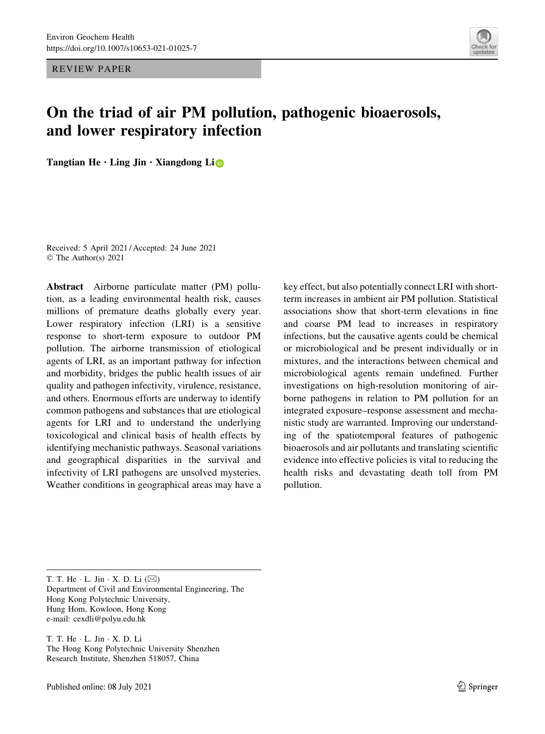REVIEW PAPER



# On the triad of air PM pollution, pathogenic bioaerosols, and lower respiratory infection

Tangtian He $\cdot$  Ling Jin  $\cdot$  Xiangdong Li $\bullet$ 

Received: 5 April 2021 / Accepted: 24 June 2021 © The Author(s) 2021

Abstract Airborne particulate matter (PM) pollution, as a leading environmental health risk, causes millions of premature deaths globally every year. Lower respiratory infection (LRI) is a sensitive response to short-term exposure to outdoor PM pollution. The airborne transmission of etiological agents of LRI, as an important pathway for infection and morbidity, bridges the public health issues of air quality and pathogen infectivity, virulence, resistance, and others. Enormous efforts are underway to identify common pathogens and substances that are etiological agents for LRI and to understand the underlying toxicological and clinical basis of health effects by identifying mechanistic pathways. Seasonal variations and geographical disparities in the survival and infectivity of LRI pathogens are unsolved mysteries. Weather conditions in geographical areas may have a key effect, but also potentially connect LRI with shortterm increases in ambient air PM pollution. Statistical associations show that short-term elevations in fine and coarse PM lead to increases in respiratory infections, but the causative agents could be chemical or microbiological and be present individually or in mixtures, and the interactions between chemical and microbiological agents remain undefined. Further investigations on high-resolution monitoring of airborne pathogens in relation to PM pollution for an integrated exposure–response assessment and mechanistic study are warranted. Improving our understanding of the spatiotemporal features of pathogenic bioaerosols and air pollutants and translating scientific evidence into effective policies is vital to reducing the health risks and devastating death toll from PM pollution.

T. T. He  $\cdot$  L. Jin  $\cdot$  X. D. Li ( $\boxtimes$ ) Department of Civil and Environmental Engineering, The Hong Kong Polytechnic University, Hung Hom, Kowloon, Hong Kong e-mail: cexdli@polyu.edu.hk

T. T. He - L. Jin - X. D. Li The Hong Kong Polytechnic University Shenzhen Research Institute, Shenzhen 518057, China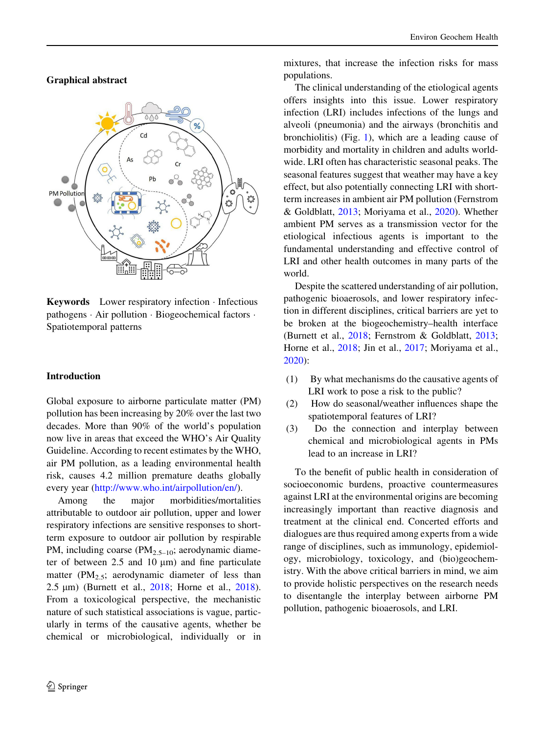Graphical abstract



Keywords Lower respiratory infection - Infectious pathogens - Air pollution - Biogeochemical factors - Spatiotemporal patterns

## Introduction

Global exposure to airborne particulate matter (PM) pollution has been increasing by 20% over the last two decades. More than 90% of the world's population now live in areas that exceed the WHO's Air Quality Guideline. According to recent estimates by the WHO, air PM pollution, as a leading environmental health risk, causes 4.2 million premature deaths globally every year [\(http://www.who.int/airpollution/en/](http://www.who.int/airpollution/en/)).

Among the major morbidities/mortalities attributable to outdoor air pollution, upper and lower respiratory infections are sensitive responses to shortterm exposure to outdoor air pollution by respirable PM, including coarse (PM<sub>2.5-10</sub>; aerodynamic diameter of between  $2.5$  and  $10 \mu m$ ) and fine particulate matter ( $PM_{2.5}$ ; aerodynamic diameter of less than 2.5 µm) (Burnett et al., [2018;](#page-9-0) Horne et al., [2018](#page-9-0)). From a toxicological perspective, the mechanistic nature of such statistical associations is vague, particularly in terms of the causative agents, whether be chemical or microbiological, individually or in mixtures, that increase the infection risks for mass populations.

The clinical understanding of the etiological agents offers insights into this issue. Lower respiratory infection (LRI) includes infections of the lungs and alveoli (pneumonia) and the airways (bronchitis and bronchiolitis) (Fig. [1](#page-3-0)), which are a leading cause of morbidity and mortality in children and adults worldwide. LRI often has characteristic seasonal peaks. The seasonal features suggest that weather may have a key effect, but also potentially connecting LRI with shortterm increases in ambient air PM pollution (Fernstrom & Goldblatt, [2013;](#page-9-0) Moriyama et al., [2020\)](#page-10-0). Whether ambient PM serves as a transmission vector for the etiological infectious agents is important to the fundamental understanding and effective control of LRI and other health outcomes in many parts of the world.

Despite the scattered understanding of air pollution, pathogenic bioaerosols, and lower respiratory infection in different disciplines, critical barriers are yet to be broken at the biogeochemistry–health interface (Burnett et al., [2018;](#page-9-0) Fernstrom & Goldblatt, [2013](#page-9-0); Horne et al., [2018](#page-9-0); Jin et al., [2017](#page-9-0); Moriyama et al., [2020\)](#page-10-0):

- (1) By what mechanisms do the causative agents of LRI work to pose a risk to the public?
- (2) How do seasonal/weather influences shape the spatiotemporal features of LRI?
- (3) Do the connection and interplay between chemical and microbiological agents in PMs lead to an increase in LRI?

To the benefit of public health in consideration of socioeconomic burdens, proactive countermeasures against LRI at the environmental origins are becoming increasingly important than reactive diagnosis and treatment at the clinical end. Concerted efforts and dialogues are thus required among experts from a wide range of disciplines, such as immunology, epidemiology, microbiology, toxicology, and (bio)geochemistry. With the above critical barriers in mind, we aim to provide holistic perspectives on the research needs to disentangle the interplay between airborne PM pollution, pathogenic bioaerosols, and LRI.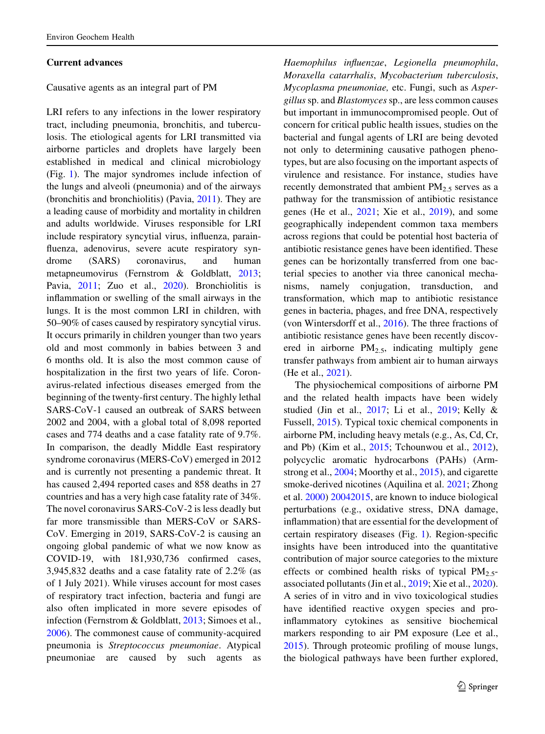#### Current advances

Causative agents as an integral part of PM

LRI refers to any infections in the lower respiratory tract, including pneumonia, bronchitis, and tuberculosis. The etiological agents for LRI transmitted via airborne particles and droplets have largely been established in medical and clinical microbiology (Fig. [1](#page-3-0)). The major syndromes include infection of the lungs and alveoli (pneumonia) and of the airways (bronchitis and bronchiolitis) (Pavia, [2011\)](#page-10-0). They are a leading cause of morbidity and mortality in children and adults worldwide. Viruses responsible for LRI include respiratory syncytial virus, influenza, parainfluenza, adenovirus, severe acute respiratory syndrome (SARS) coronavirus, and human metapneumovirus (Fernstrom & Goldblatt, [2013](#page-9-0); Pavia, [2011](#page-10-0); Zuo et al., [2020\)](#page-10-0). Bronchiolitis is inflammation or swelling of the small airways in the lungs. It is the most common LRI in children, with 50–90% of cases caused by respiratory syncytial virus. It occurs primarily in children younger than two years old and most commonly in babies between 3 and 6 months old. It is also the most common cause of hospitalization in the first two years of life. Coronavirus-related infectious diseases emerged from the beginning of the twenty-first century. The highly lethal SARS-CoV-1 caused an outbreak of SARS between 2002 and 2004, with a global total of 8,098 reported cases and 774 deaths and a case fatality rate of 9.7%. In comparison, the deadly Middle East respiratory syndrome coronavirus (MERS-CoV) emerged in 2012 and is currently not presenting a pandemic threat. It has caused 2,494 reported cases and 858 deaths in 27 countries and has a very high case fatality rate of 34%. The novel coronavirus SARS-CoV-2 is less deadly but far more transmissible than MERS-CoV or SARS-CoV. Emerging in 2019, SARS-CoV-2 is causing an ongoing global pandemic of what we now know as COVID-19, with 181,930,736 confirmed cases, 3,945,832 deaths and a case fatality rate of 2.2% (as of 1 July 2021). While viruses account for most cases of respiratory tract infection, bacteria and fungi are also often implicated in more severe episodes of infection (Fernstrom & Goldblatt, [2013;](#page-9-0) Simoes et al., [2006\)](#page-10-0). The commonest cause of community-acquired pneumonia is Streptococcus pneumoniae. Atypical pneumoniae are caused by such agents as

Haemophilus influenzae, Legionella pneumophila, Moraxella catarrhalis, Mycobacterium tuberculosis, Mycoplasma pneumoniae, etc. Fungi, such as Aspergillus sp. and Blastomycessp., are less common causes but important in immunocompromised people. Out of concern for critical public health issues, studies on the bacterial and fungal agents of LRI are being devoted not only to determining causative pathogen phenotypes, but are also focusing on the important aspects of virulence and resistance. For instance, studies have recently demonstrated that ambient  $PM_{2.5}$  serves as a pathway for the transmission of antibiotic resistance genes (He et al., [2021](#page-9-0); Xie et al., [2019\)](#page-10-0), and some geographically independent common taxa members across regions that could be potential host bacteria of antibiotic resistance genes have been identified. These genes can be horizontally transferred from one bacterial species to another via three canonical mechanisms, namely conjugation, transduction, and transformation, which map to antibiotic resistance genes in bacteria, phages, and free DNA, respectively (von Wintersdorff et al., [2016\)](#page-10-0). The three fractions of antibiotic resistance genes have been recently discovered in airborne  $PM_{2.5}$ , indicating multiply gene transfer pathways from ambient air to human airways (He et al., [2021\)](#page-9-0).

The physiochemical compositions of airborne PM and the related health impacts have been widely studied (Jin et al., [2017](#page-9-0); Li et al., [2019](#page-10-0); Kelly & Fussell, [2015](#page-9-0)). Typical toxic chemical components in airborne PM, including heavy metals (e.g., As, Cd, Cr, and Pb) (Kim et al., [2015;](#page-9-0) Tchounwou et al., [2012](#page-10-0)), polycyclic aromatic hydrocarbons (PAHs) (Armstrong et al., [2004;](#page-9-0) Moorthy et al., [2015](#page-10-0)), and cigarette smoke-derived nicotines (Aquilina et al. [2021;](#page-9-0) Zhong et al. [2000\)](#page-10-0) [20042015](#page-10-0), are known to induce biological perturbations (e.g., oxidative stress, DNA damage, inflammation) that are essential for the development of certain respiratory diseases (Fig. [1\)](#page-3-0). Region-specific insights have been introduced into the quantitative contribution of major source categories to the mixture effects or combined health risks of typical  $PM_{2.5}$ associated pollutants (Jin et al., [2019;](#page-9-0) Xie et al., [2020](#page-10-0)). A series of in vitro and in vivo toxicological studies have identified reactive oxygen species and proinflammatory cytokines as sensitive biochemical markers responding to air PM exposure (Lee et al., [2015\)](#page-9-0). Through proteomic profiling of mouse lungs, the biological pathways have been further explored,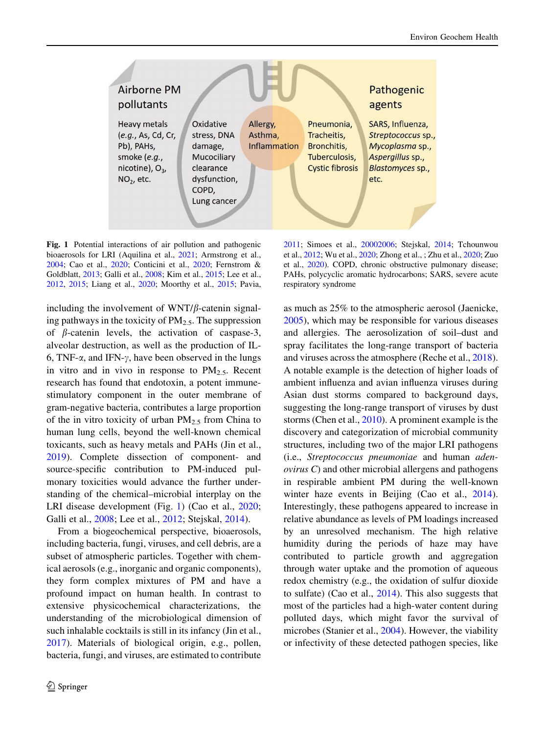<span id="page-3-0"></span>

Fig. 1 Potential interactions of air pollution and pathogenic bioaerosols for LRI (Aquilina et al., [2021](#page-9-0); Armstrong et al., [2004;](#page-9-0) Cao et al., [2020](#page-9-0); Conticini et al., [2020;](#page-9-0) Fernstrom & Goldblatt, [2013](#page-9-0); Galli et al., [2008;](#page-9-0) Kim et al., [2015](#page-9-0); Lee et al., [2012,](#page-9-0) [2015](#page-9-0); Liang et al., [2020;](#page-10-0) Moorthy et al., [2015](#page-10-0); Pavia,

including the involvement of  $WNT/\beta$ -catenin signaling pathways in the toxicity of  $PM_{2.5}$ . The suppression of  $\beta$ -catenin levels, the activation of caspase-3, alveolar destruction, as well as the production of IL-6, TNF- $\alpha$ , and IFN- $\gamma$ , have been observed in the lungs in vitro and in vivo in response to  $PM_{2.5}$ . Recent research has found that endotoxin, a potent immunestimulatory component in the outer membrane of gram-negative bacteria, contributes a large proportion of the in vitro toxicity of urban  $PM_{2.5}$  from China to human lung cells, beyond the well-known chemical toxicants, such as heavy metals and PAHs (Jin et al., [2019\)](#page-9-0). Complete dissection of component- and source-specific contribution to PM-induced pulmonary toxicities would advance the further understanding of the chemical–microbial interplay on the LRI disease development (Fig. 1) (Cao et al., [2020](#page-9-0); Galli et al., [2008;](#page-9-0) Lee et al., [2012](#page-9-0); Stejskal, [2014\)](#page-10-0).

From a biogeochemical perspective, bioaerosols, including bacteria, fungi, viruses, and cell debris, are a subset of atmospheric particles. Together with chemical aerosols (e.g., inorganic and organic components), they form complex mixtures of PM and have a profound impact on human health. In contrast to extensive physicochemical characterizations, the understanding of the microbiological dimension of such inhalable cocktails is still in its infancy (Jin et al., [2017\)](#page-9-0). Materials of biological origin, e.g., pollen, bacteria, fungi, and viruses, are estimated to contribute

[2011;](#page-10-0) Simoes et al., [20002006](#page-10-0); Stejskal, [2014](#page-10-0); Tchounwou et al., [2012](#page-10-0); Wu et al., [2020](#page-10-0); Zhong et al., ; Zhu et al., [2020](#page-10-0); Zuo et al., [2020\)](#page-10-0). COPD, chronic obstructive pulmonary disease; PAHs, polycyclic aromatic hydrocarbons; SARS, severe acute respiratory syndrome

as much as 25% to the atmospheric aerosol (Jaenicke, [2005\)](#page-9-0), which may be responsible for various diseases and allergies. The aerosolization of soil–dust and spray facilitates the long-range transport of bacteria and viruses across the atmosphere (Reche et al., [2018](#page-10-0)). A notable example is the detection of higher loads of ambient influenza and avian influenza viruses during Asian dust storms compared to background days, suggesting the long-range transport of viruses by dust storms (Chen et al., [2010](#page-9-0)). A prominent example is the discovery and categorization of microbial community structures, including two of the major LRI pathogens (i.e., Streptococcus pneumoniae and human adenovirus C) and other microbial allergens and pathogens in respirable ambient PM during the well-known winter haze events in Beijing (Cao et al., [2014](#page-9-0)). Interestingly, these pathogens appeared to increase in relative abundance as levels of PM loadings increased by an unresolved mechanism. The high relative humidity during the periods of haze may have contributed to particle growth and aggregation through water uptake and the promotion of aqueous redox chemistry (e.g., the oxidation of sulfur dioxide to sulfate) (Cao et al., [2014](#page-9-0)). This also suggests that most of the particles had a high-water content during polluted days, which might favor the survival of microbes (Stanier et al., [2004](#page-10-0)). However, the viability or infectivity of these detected pathogen species, like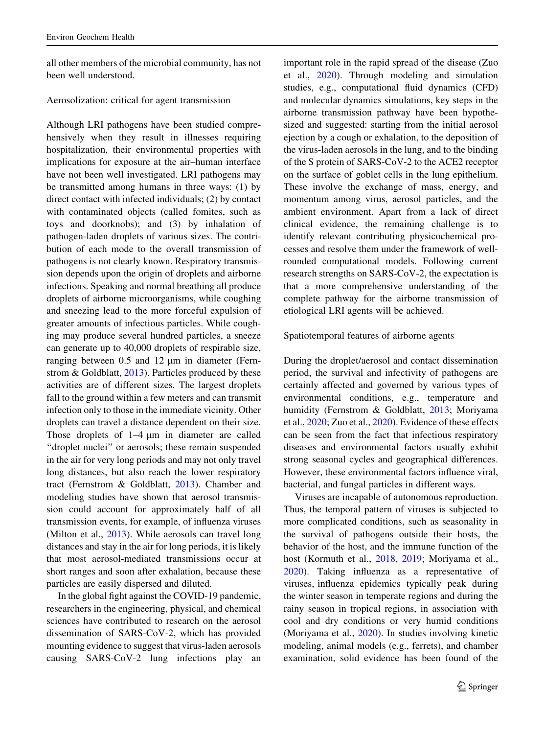all other members of the microbial community, has not been well understood.

## Aerosolization: critical for agent transmission

Although LRI pathogens have been studied comprehensively when they result in illnesses requiring hospitalization, their environmental properties with implications for exposure at the air–human interface have not been well investigated. LRI pathogens may be transmitted among humans in three ways: (1) by direct contact with infected individuals; (2) by contact with contaminated objects (called fomites, such as toys and doorknobs); and (3) by inhalation of pathogen-laden droplets of various sizes. The contribution of each mode to the overall transmission of pathogens is not clearly known. Respiratory transmission depends upon the origin of droplets and airborne infections. Speaking and normal breathing all produce droplets of airborne microorganisms, while coughing and sneezing lead to the more forceful expulsion of greater amounts of infectious particles. While coughing may produce several hundred particles, a sneeze can generate up to 40,000 droplets of respirable size, ranging between  $0.5$  and  $12 \mu m$  in diameter (Fern-strom & Goldblatt, [2013\)](#page-9-0). Particles produced by these activities are of different sizes. The largest droplets fall to the ground within a few meters and can transmit infection only to those in the immediate vicinity. Other droplets can travel a distance dependent on their size. Those droplets of  $1-4 \mu m$  in diameter are called "droplet nuclei" or aerosols; these remain suspended in the air for very long periods and may not only travel long distances, but also reach the lower respiratory tract (Fernstrom & Goldblatt, [2013\)](#page-9-0). Chamber and modeling studies have shown that aerosol transmission could account for approximately half of all transmission events, for example, of influenza viruses (Milton et al., [2013](#page-10-0)). While aerosols can travel long distances and stay in the air for long periods, it is likely that most aerosol-mediated transmissions occur at short ranges and soon after exhalation, because these particles are easily dispersed and diluted.

In the global fight against the COVID-19 pandemic, researchers in the engineering, physical, and chemical sciences have contributed to research on the aerosol dissemination of SARS-CoV-2, which has provided mounting evidence to suggest that virus-laden aerosols causing SARS-CoV-2 lung infections play an important role in the rapid spread of the disease (Zuo et al., [2020](#page-10-0)). Through modeling and simulation studies, e.g., computational fluid dynamics (CFD) and molecular dynamics simulations, key steps in the airborne transmission pathway have been hypothesized and suggested: starting from the initial aerosol ejection by a cough or exhalation, to the deposition of the virus-laden aerosols in the lung, and to the binding of the S protein of SARS-CoV-2 to the ACE2 receptor on the surface of goblet cells in the lung epithelium. These involve the exchange of mass, energy, and momentum among virus, aerosol particles, and the ambient environment. Apart from a lack of direct clinical evidence, the remaining challenge is to identify relevant contributing physicochemical processes and resolve them under the framework of wellrounded computational models. Following current research strengths on SARS-CoV-2, the expectation is that a more comprehensive understanding of the complete pathway for the airborne transmission of etiological LRI agents will be achieved.

#### Spatiotemporal features of airborne agents

During the droplet/aerosol and contact dissemination period, the survival and infectivity of pathogens are certainly affected and governed by various types of environmental conditions, e.g., temperature and humidity (Fernstrom & Goldblatt, [2013](#page-9-0); Moriyama et al., [2020](#page-10-0); Zuo et al., [2020](#page-10-0)). Evidence of these effects can be seen from the fact that infectious respiratory diseases and environmental factors usually exhibit strong seasonal cycles and geographical differences. However, these environmental factors influence viral, bacterial, and fungal particles in different ways.

Viruses are incapable of autonomous reproduction. Thus, the temporal pattern of viruses is subjected to more complicated conditions, such as seasonality in the survival of pathogens outside their hosts, the behavior of the host, and the immune function of the host (Kormuth et al., [2018](#page-9-0), [2019;](#page-9-0) Moriyama et al., [2020\)](#page-10-0). Taking influenza as a representative of viruses, influenza epidemics typically peak during the winter season in temperate regions and during the rainy season in tropical regions, in association with cool and dry conditions or very humid conditions (Moriyama et al., [2020](#page-10-0)). In studies involving kinetic modeling, animal models (e.g., ferrets), and chamber examination, solid evidence has been found of the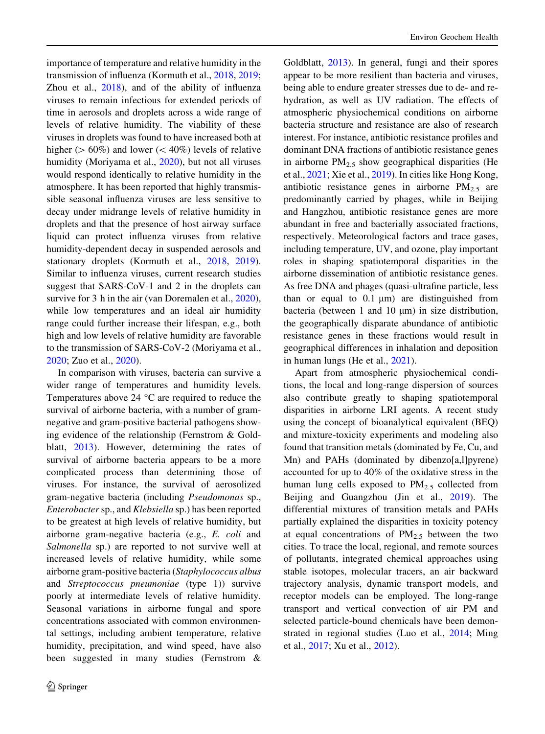importance of temperature and relative humidity in the transmission of influenza (Kormuth et al., [2018,](#page-9-0) [2019](#page-9-0); Zhou et al., [2018\)](#page-10-0), and of the ability of influenza viruses to remain infectious for extended periods of time in aerosols and droplets across a wide range of levels of relative humidity. The viability of these viruses in droplets was found to have increased both at higher ( $> 60\%$ ) and lower ( $< 40\%$ ) levels of relative humidity (Moriyama et al., [2020\)](#page-10-0), but not all viruses would respond identically to relative humidity in the atmosphere. It has been reported that highly transmissible seasonal influenza viruses are less sensitive to decay under midrange levels of relative humidity in droplets and that the presence of host airway surface liquid can protect influenza viruses from relative humidity-dependent decay in suspended aerosols and stationary droplets (Kormuth et al., [2018,](#page-9-0) [2019](#page-9-0)). Similar to influenza viruses, current research studies suggest that SARS-CoV-1 and 2 in the droplets can survive for 3 h in the air (van Doremalen et al., [2020](#page-10-0)), while low temperatures and an ideal air humidity range could further increase their lifespan, e.g., both high and low levels of relative humidity are favorable to the transmission of SARS-CoV-2 (Moriyama et al., [2020;](#page-10-0) Zuo et al., [2020](#page-10-0)).

In comparison with viruses, bacteria can survive a wider range of temperatures and humidity levels. Temperatures above 24  $^{\circ}$ C are required to reduce the survival of airborne bacteria, with a number of gramnegative and gram-positive bacterial pathogens showing evidence of the relationship (Fernstrom & Goldblatt, [2013](#page-9-0)). However, determining the rates of survival of airborne bacteria appears to be a more complicated process than determining those of viruses. For instance, the survival of aerosolized gram-negative bacteria (including Pseudomonas sp., Enterobacter sp., and Klebsiella sp.) has been reported to be greatest at high levels of relative humidity, but airborne gram-negative bacteria (e.g., E. coli and Salmonella sp.) are reported to not survive well at increased levels of relative humidity, while some airborne gram-positive bacteria (Staphylococcus albus and Streptococcus pneumoniae (type 1)) survive poorly at intermediate levels of relative humidity. Seasonal variations in airborne fungal and spore concentrations associated with common environmental settings, including ambient temperature, relative humidity, precipitation, and wind speed, have also been suggested in many studies (Fernstrom &

Goldblatt, [2013](#page-9-0)). In general, fungi and their spores appear to be more resilient than bacteria and viruses, being able to endure greater stresses due to de- and rehydration, as well as UV radiation. The effects of atmospheric physiochemical conditions on airborne bacteria structure and resistance are also of research interest. For instance, antibiotic resistance profiles and dominant DNA fractions of antibiotic resistance genes in airborne  $PM_{2,5}$  show geographical disparities (He et al., [2021](#page-9-0); Xie et al., [2019](#page-10-0)). In cities like Hong Kong, antibiotic resistance genes in airborne  $PM_{2.5}$  are predominantly carried by phages, while in Beijing and Hangzhou, antibiotic resistance genes are more abundant in free and bacterially associated fractions, respectively. Meteorological factors and trace gases, including temperature, UV, and ozone, play important roles in shaping spatiotemporal disparities in the airborne dissemination of antibiotic resistance genes. As free DNA and phages (quasi-ultrafine particle, less than or equal to  $0.1 \mu m$  are distinguished from bacteria (between 1 and 10  $\mu$ m) in size distribution, the geographically disparate abundance of antibiotic resistance genes in these fractions would result in geographical differences in inhalation and deposition in human lungs (He et al., [2021\)](#page-9-0).

Apart from atmospheric physiochemical conditions, the local and long-range dispersion of sources also contribute greatly to shaping spatiotemporal disparities in airborne LRI agents. A recent study using the concept of bioanalytical equivalent (BEQ) and mixture-toxicity experiments and modeling also found that transition metals (dominated by Fe, Cu, and Mn) and PAHs (dominated by dibenzo[a,1] pyrene) accounted for up to 40% of the oxidative stress in the human lung cells exposed to  $PM_{2.5}$  collected from Beijing and Guangzhou (Jin et al., [2019\)](#page-9-0). The differential mixtures of transition metals and PAHs partially explained the disparities in toxicity potency at equal concentrations of  $PM_{2.5}$  between the two cities. To trace the local, regional, and remote sources of pollutants, integrated chemical approaches using stable isotopes, molecular tracers, an air backward trajectory analysis, dynamic transport models, and receptor models can be employed. The long-range transport and vertical convection of air PM and selected particle-bound chemicals have been demonstrated in regional studies (Luo et al., [2014](#page-10-0); Ming et al., [2017;](#page-10-0) Xu et al., [2012\)](#page-10-0).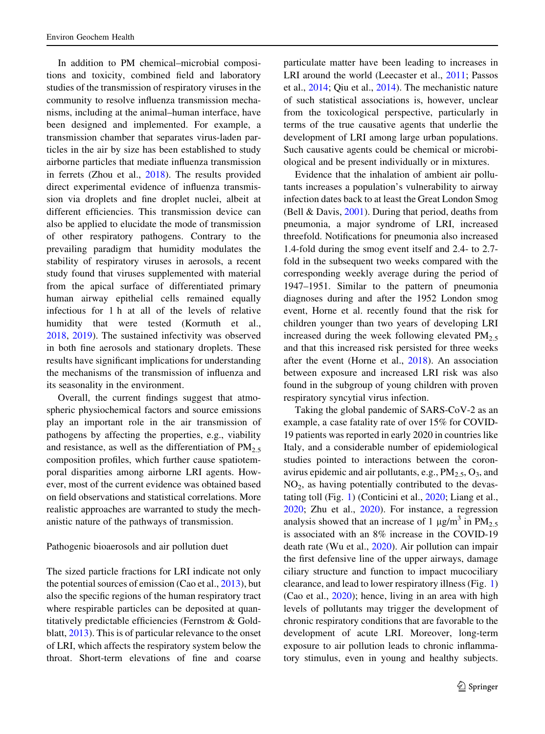In addition to PM chemical–microbial compositions and toxicity, combined field and laboratory studies of the transmission of respiratory viruses in the community to resolve influenza transmission mechanisms, including at the animal–human interface, have been designed and implemented. For example, a transmission chamber that separates virus-laden particles in the air by size has been established to study airborne particles that mediate influenza transmission in ferrets (Zhou et al., [2018\)](#page-10-0). The results provided direct experimental evidence of influenza transmission via droplets and fine droplet nuclei, albeit at different efficiencies. This transmission device can also be applied to elucidate the mode of transmission of other respiratory pathogens. Contrary to the prevailing paradigm that humidity modulates the stability of respiratory viruses in aerosols, a recent study found that viruses supplemented with material from the apical surface of differentiated primary human airway epithelial cells remained equally infectious for 1 h at all of the levels of relative humidity that were tested (Kormuth et al., [2018,](#page-9-0) [2019\)](#page-9-0). The sustained infectivity was observed in both fine aerosols and stationary droplets. These results have significant implications for understanding the mechanisms of the transmission of influenza and its seasonality in the environment.

Overall, the current findings suggest that atmospheric physiochemical factors and source emissions play an important role in the air transmission of pathogens by affecting the properties, e.g., viability and resistance, as well as the differentiation of  $PM_{2.5}$ composition profiles, which further cause spatiotemporal disparities among airborne LRI agents. However, most of the current evidence was obtained based on field observations and statistical correlations. More realistic approaches are warranted to study the mechanistic nature of the pathways of transmission.

## Pathogenic bioaerosols and air pollution duet

The sized particle fractions for LRI indicate not only the potential sources of emission (Cao et al., [2013\)](#page-9-0), but also the specific regions of the human respiratory tract where respirable particles can be deposited at quantitatively predictable efficiencies (Fernstrom & Goldblatt, [2013](#page-9-0)). This is of particular relevance to the onset of LRI, which affects the respiratory system below the throat. Short-term elevations of fine and coarse particulate matter have been leading to increases in LRI around the world (Leecaster et al., [2011;](#page-9-0) Passos et al., [2014;](#page-10-0) Qiu et al., [2014\)](#page-10-0). The mechanistic nature of such statistical associations is, however, unclear from the toxicological perspective, particularly in terms of the true causative agents that underlie the development of LRI among large urban populations. Such causative agents could be chemical or microbiological and be present individually or in mixtures.

Evidence that the inhalation of ambient air pollutants increases a population's vulnerability to airway infection dates back to at least the Great London Smog (Bell & Davis, [2001\)](#page-9-0). During that period, deaths from pneumonia, a major syndrome of LRI, increased threefold. Notifications for pneumonia also increased 1.4-fold during the smog event itself and 2.4- to 2.7 fold in the subsequent two weeks compared with the corresponding weekly average during the period of 1947–1951. Similar to the pattern of pneumonia diagnoses during and after the 1952 London smog event, Horne et al. recently found that the risk for children younger than two years of developing LRI increased during the week following elevated  $PM_{2.5}$ and that this increased risk persisted for three weeks after the event (Horne et al., [2018\)](#page-9-0). An association between exposure and increased LRI risk was also found in the subgroup of young children with proven respiratory syncytial virus infection.

Taking the global pandemic of SARS-CoV-2 as an example, a case fatality rate of over 15% for COVID-19 patients was reported in early 2020 in countries like Italy, and a considerable number of epidemiological studies pointed to interactions between the coronavirus epidemic and air pollutants, e.g.,  $PM_{2.5}$ ,  $O_3$ , and  $NO<sub>2</sub>$ , as having potentially contributed to the devastating toll (Fig. [1\)](#page-3-0) (Conticini et al., [2020](#page-9-0); Liang et al., [2020;](#page-10-0) Zhu et al., [2020\)](#page-10-0). For instance, a regression analysis showed that an increase of 1  $\mu$ g/m<sup>3</sup> in PM<sub>2.5</sub> is associated with an 8% increase in the COVID-19 death rate (Wu et al., [2020](#page-10-0)). Air pollution can impair the first defensive line of the upper airways, damage ciliary structure and function to impact mucociliary clearance, and lead to lower respiratory illness (Fig. [1\)](#page-3-0) (Cao et al., [2020](#page-9-0)); hence, living in an area with high levels of pollutants may trigger the development of chronic respiratory conditions that are favorable to the development of acute LRI. Moreover, long-term exposure to air pollution leads to chronic inflammatory stimulus, even in young and healthy subjects.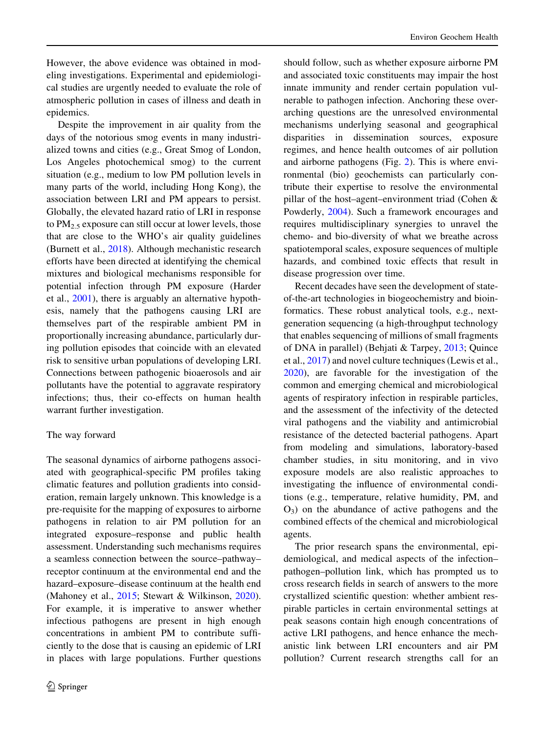However, the above evidence was obtained in modeling investigations. Experimental and epidemiological studies are urgently needed to evaluate the role of atmospheric pollution in cases of illness and death in epidemics.

Despite the improvement in air quality from the days of the notorious smog events in many industrialized towns and cities (e.g., Great Smog of London, Los Angeles photochemical smog) to the current situation (e.g., medium to low PM pollution levels in many parts of the world, including Hong Kong), the association between LRI and PM appears to persist. Globally, the elevated hazard ratio of LRI in response to  $PM_{2.5}$  exposure can still occur at lower levels, those that are close to the WHO's air quality guidelines (Burnett et al., [2018](#page-9-0)). Although mechanistic research efforts have been directed at identifying the chemical mixtures and biological mechanisms responsible for potential infection through PM exposure (Harder et al., [2001\)](#page-9-0), there is arguably an alternative hypothesis, namely that the pathogens causing LRI are themselves part of the respirable ambient PM in proportionally increasing abundance, particularly during pollution episodes that coincide with an elevated risk to sensitive urban populations of developing LRI. Connections between pathogenic bioaerosols and air pollutants have the potential to aggravate respiratory infections; thus, their co-effects on human health warrant further investigation.

# The way forward

The seasonal dynamics of airborne pathogens associated with geographical-specific PM profiles taking climatic features and pollution gradients into consideration, remain largely unknown. This knowledge is a pre-requisite for the mapping of exposures to airborne pathogens in relation to air PM pollution for an integrated exposure–response and public health assessment. Understanding such mechanisms requires a seamless connection between the source–pathway– receptor continuum at the environmental end and the hazard–exposure–disease continuum at the health end (Mahoney et al., [2015;](#page-10-0) Stewart & Wilkinson, [2020](#page-10-0)). For example, it is imperative to answer whether infectious pathogens are present in high enough concentrations in ambient PM to contribute sufficiently to the dose that is causing an epidemic of LRI in places with large populations. Further questions

should follow, such as whether exposure airborne PM and associated toxic constituents may impair the host innate immunity and render certain population vulnerable to pathogen infection. Anchoring these overarching questions are the unresolved environmental mechanisms underlying seasonal and geographical disparities in dissemination sources, exposure regimes, and hence health outcomes of air pollution and airborne pathogens (Fig. [2](#page-8-0)). This is where environmental (bio) geochemists can particularly contribute their expertise to resolve the environmental pillar of the host–agent–environment triad (Cohen & Powderly, [2004](#page-9-0)). Such a framework encourages and requires multidisciplinary synergies to unravel the chemo- and bio-diversity of what we breathe across spatiotemporal scales, exposure sequences of multiple hazards, and combined toxic effects that result in disease progression over time.

Recent decades have seen the development of stateof-the-art technologies in biogeochemistry and bioinformatics. These robust analytical tools, e.g., nextgeneration sequencing (a high-throughput technology that enables sequencing of millions of small fragments of DNA in parallel) (Behjati & Tarpey, [2013;](#page-9-0) Quince et al., [2017](#page-10-0)) and novel culture techniques (Lewis et al., [2020\)](#page-9-0), are favorable for the investigation of the common and emerging chemical and microbiological agents of respiratory infection in respirable particles, and the assessment of the infectivity of the detected viral pathogens and the viability and antimicrobial resistance of the detected bacterial pathogens. Apart from modeling and simulations, laboratory-based chamber studies, in situ monitoring, and in vivo exposure models are also realistic approaches to investigating the influence of environmental conditions (e.g., temperature, relative humidity, PM, and  $O_3$ ) on the abundance of active pathogens and the combined effects of the chemical and microbiological agents.

The prior research spans the environmental, epidemiological, and medical aspects of the infection– pathogen–pollution link, which has prompted us to cross research fields in search of answers to the more crystallized scientific question: whether ambient respirable particles in certain environmental settings at peak seasons contain high enough concentrations of active LRI pathogens, and hence enhance the mechanistic link between LRI encounters and air PM pollution? Current research strengths call for an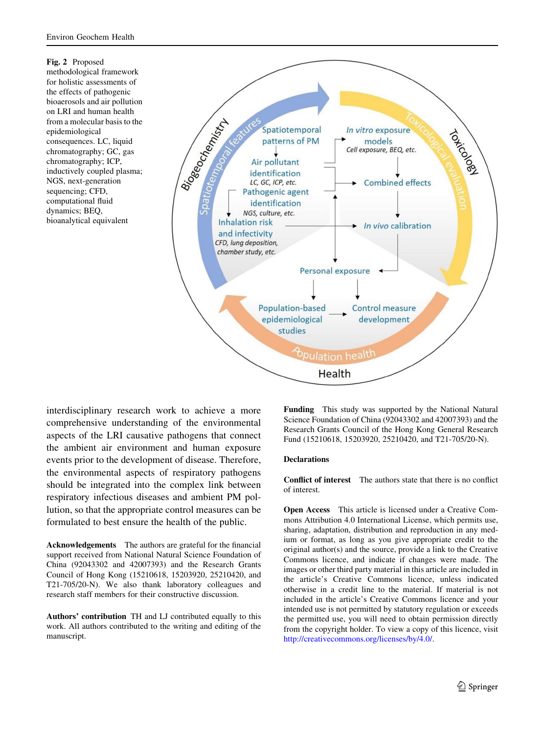<span id="page-8-0"></span>

interdisciplinary research work to achieve a more comprehensive understanding of the environmental aspects of the LRI causative pathogens that connect the ambient air environment and human exposure events prior to the development of disease. Therefore, the environmental aspects of respiratory pathogens should be integrated into the complex link between respiratory infectious diseases and ambient PM pollution, so that the appropriate control measures can be formulated to best ensure the health of the public.

Acknowledgements The authors are grateful for the financial support received from National Natural Science Foundation of China (92043302 and 42007393) and the Research Grants Council of Hong Kong (15210618, 15203920, 25210420, and T21-705/20-N). We also thank laboratory colleagues and research staff members for their constructive discussion.

Authors' contribution TH and LJ contributed equally to this work. All authors contributed to the writing and editing of the manuscript.

Funding This study was supported by the National Natural Science Foundation of China (92043302 and 42007393) and the Research Grants Council of the Hong Kong General Research Fund (15210618, 15203920, 25210420, and T21-705/20-N).

#### **Declarations**

Conflict of interest The authors state that there is no conflict of interest.

Open Access This article is licensed under a Creative Commons Attribution 4.0 International License, which permits use, sharing, adaptation, distribution and reproduction in any medium or format, as long as you give appropriate credit to the original author(s) and the source, provide a link to the Creative Commons licence, and indicate if changes were made. The images or other third party material in this article are included in the article's Creative Commons licence, unless indicated otherwise in a credit line to the material. If material is not included in the article's Creative Commons licence and your intended use is not permitted by statutory regulation or exceeds the permitted use, you will need to obtain permission directly from the copyright holder. To view a copy of this licence, visit <http://creativecommons.org/licenses/by/4.0/>.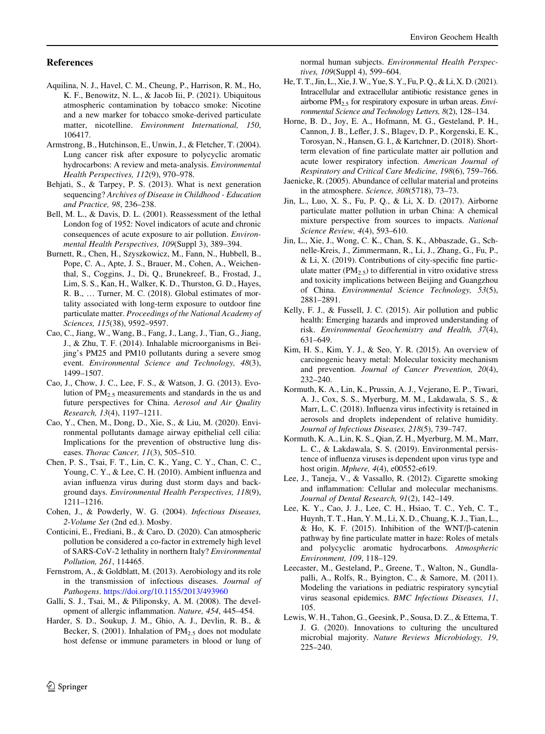#### <span id="page-9-0"></span>References

- Aquilina, N. J., Havel, C. M., Cheung, P., Harrison, R. M., Ho, K. F., Benowitz, N. L., & Jacob Iii, P. (2021). Ubiquitous atmospheric contamination by tobacco smoke: Nicotine and a new marker for tobacco smoke-derived particulate matter, nicotelline. Environment International, 150, 106417.
- Armstrong, B., Hutchinson, E., Unwin, J., & Fletcher, T. (2004). Lung cancer risk after exposure to polycyclic aromatic hydrocarbons: A review and meta-analysis. Environmental Health Perspectives, 112(9), 970–978.
- Behjati, S., & Tarpey, P. S. (2013). What is next generation sequencing? Archives of Disease in Childhood - Education and Practice, 98, 236–238.
- Bell, M. L., & Davis, D. L. (2001). Reassessment of the lethal London fog of 1952: Novel indicators of acute and chronic consequences of acute exposure to air pollution. Environmental Health Perspectives, 109(Suppl 3), 389–394.
- Burnett, R., Chen, H., Szyszkowicz, M., Fann, N., Hubbell, B., Pope, C. A., Apte, J. S., Brauer, M., Cohen, A., Weichenthal, S., Coggins, J., Di, Q., Brunekreef, B., Frostad, J., Lim, S. S., Kan, H., Walker, K. D., Thurston, G. D., Hayes, R. B., … Turner, M. C. (2018). Global estimates of mortality associated with long-term exposure to outdoor fine particulate matter. Proceedings of the National Academy of Sciences, 115(38), 9592–9597.
- Cao, C., Jiang, W., Wang, B., Fang, J., Lang, J., Tian, G., Jiang, J., & Zhu, T. F. (2014). Inhalable microorganisms in Beijing's PM25 and PM10 pollutants during a severe smog event. Environmental Science and Technology, 48(3), 1499–1507.
- Cao, J., Chow, J. C., Lee, F. S., & Watson, J. G. (2013). Evolution of PM2.5 measurements and standards in the us and future perspectives for China. Aerosol and Air Quality Research, 13(4), 1197–1211.
- Cao, Y., Chen, M., Dong, D., Xie, S., & Liu, M. (2020). Environmental pollutants damage airway epithelial cell cilia: Implications for the prevention of obstructive lung diseases. *Thorac Cancer*, 11(3), 505–510.
- Chen, P. S., Tsai, F. T., Lin, C. K., Yang, C. Y., Chan, C. C., Young, C. Y., & Lee, C. H. (2010). Ambient influenza and avian influenza virus during dust storm days and background days. Environmental Health Perspectives, 118(9), 1211–1216.
- Cohen, J., & Powderly, W. G. (2004). Infectious Diseases, 2-Volume Set (2nd ed.). Mosby.
- Conticini, E., Frediani, B., & Caro, D. (2020). Can atmospheric pollution be considered a co-factor in extremely high level of SARS-CoV-2 lethality in northern Italy? Environmental Pollution, 261, 114465.
- Fernstrom, A., & Goldblatt, M. (2013). Aerobiology and its role in the transmission of infectious diseases. Journal of Pathogens. <https://doi.org/10.1155/2013/493960>
- Galli, S. J., Tsai, M., & Piliponsky, A. M. (2008). The development of allergic inflammation. Nature, 454, 445–454.
- Harder, S. D., Soukup, J. M., Ghio, A. J., Devlin, R. B., & Becker, S. (2001). Inhalation of  $PM_{2,5}$  does not modulate host defense or immune parameters in blood or lung of

normal human subjects. Environmental Health Perspectives, 109(Suppl 4), 599–604.

- He, T. T., Jin, L., Xie, J.W., Yue, S. Y., Fu, P. Q., & Li, X. D. (2021). Intracellular and extracellular antibiotic resistance genes in airborne  $PM_{2.5}$  for respiratory exposure in urban areas. *Envi*ronmental Science and Technology Letters, 8(2), 128–134.
- Horne, B. D., Joy, E. A., Hofmann, M. G., Gesteland, P. H., Cannon, J. B., Lefler, J. S., Blagev, D. P., Korgenski, E. K., Torosyan, N., Hansen, G. I., & Kartchner, D. (2018). Shortterm elevation of fine particulate matter air pollution and acute lower respiratory infection. American Journal of Respiratory and Critical Care Medicine, 198(6), 759–766.
- Jaenicke, R. (2005). Abundance of cellular material and proteins in the atmosphere. Science, 308(5718), 73–73.
- Jin, L., Luo, X. S., Fu, P. Q., & Li, X. D. (2017). Airborne particulate matter pollution in urban China: A chemical mixture perspective from sources to impacts. National Science Review, 4(4), 593–610.
- Jin, L., Xie, J., Wong, C. K., Chan, S. K., Abbaszade, G., Schnelle-Kreis, J., Zimmermann, R., Li, J., Zhang, G., Fu, P., & Li, X. (2019). Contributions of city-specific fine particulate matter  $(PM_{2.5})$  to differential in vitro oxidative stress and toxicity implications between Beijing and Guangzhou of China. Environmental Science Technology, 53(5), 2881–2891.
- Kelly, F. J., & Fussell, J. C. (2015). Air pollution and public health: Emerging hazards and improved understanding of risk. Environmental Geochemistry and Health, 37(4), 631–649.
- Kim, H. S., Kim, Y. J., & Seo, Y. R. (2015). An overview of carcinogenic heavy metal: Molecular toxicity mechanism and prevention. Journal of Cancer Prevention, 20(4), 232–240.
- Kormuth, K. A., Lin, K., Prussin, A. J., Vejerano, E. P., Tiwari, A. J., Cox, S. S., Myerburg, M. M., Lakdawala, S. S., & Marr, L. C. (2018). Influenza virus infectivity is retained in aerosols and droplets independent of relative humidity. Journal of Infectious Diseases, 218(5), 739–747.
- Kormuth, K. A., Lin, K. S., Qian, Z. H., Myerburg, M. M., Marr, L. C., & Lakdawala, S. S. (2019). Environmental persistence of influenza viruses is dependent upon virus type and host origin. Mphere, 4(4), e00552-e619.
- Lee, J., Taneja, V., & Vassallo, R. (2012). Cigarette smoking and inflammation: Cellular and molecular mechanisms. Journal of Dental Research, 91(2), 142–149.
- Lee, K. Y., Cao, J. J., Lee, C. H., Hsiao, T. C., Yeh, C. T., Huynh, T. T., Han, Y. M., Li, X. D., Chuang, K. J., Tian, L., & Ho, K. F. (2015). Inhibition of the WNT/ $\beta$ -catenin pathway by fine particulate matter in haze: Roles of metals and polycyclic aromatic hydrocarbons. Atmospheric Environment, 109, 118–129.
- Leecaster, M., Gesteland, P., Greene, T., Walton, N., Gundlapalli, A., Rolfs, R., Byington, C., & Samore, M. (2011). Modeling the variations in pediatric respiratory syncytial virus seasonal epidemics. BMC Infectious Diseases, 11, 105.
- Lewis, W. H., Tahon, G., Geesink, P., Sousa, D. Z., & Ettema, T. J. G. (2020). Innovations to culturing the uncultured microbial majority. Nature Reviews Microbiology, 19, 225–240.